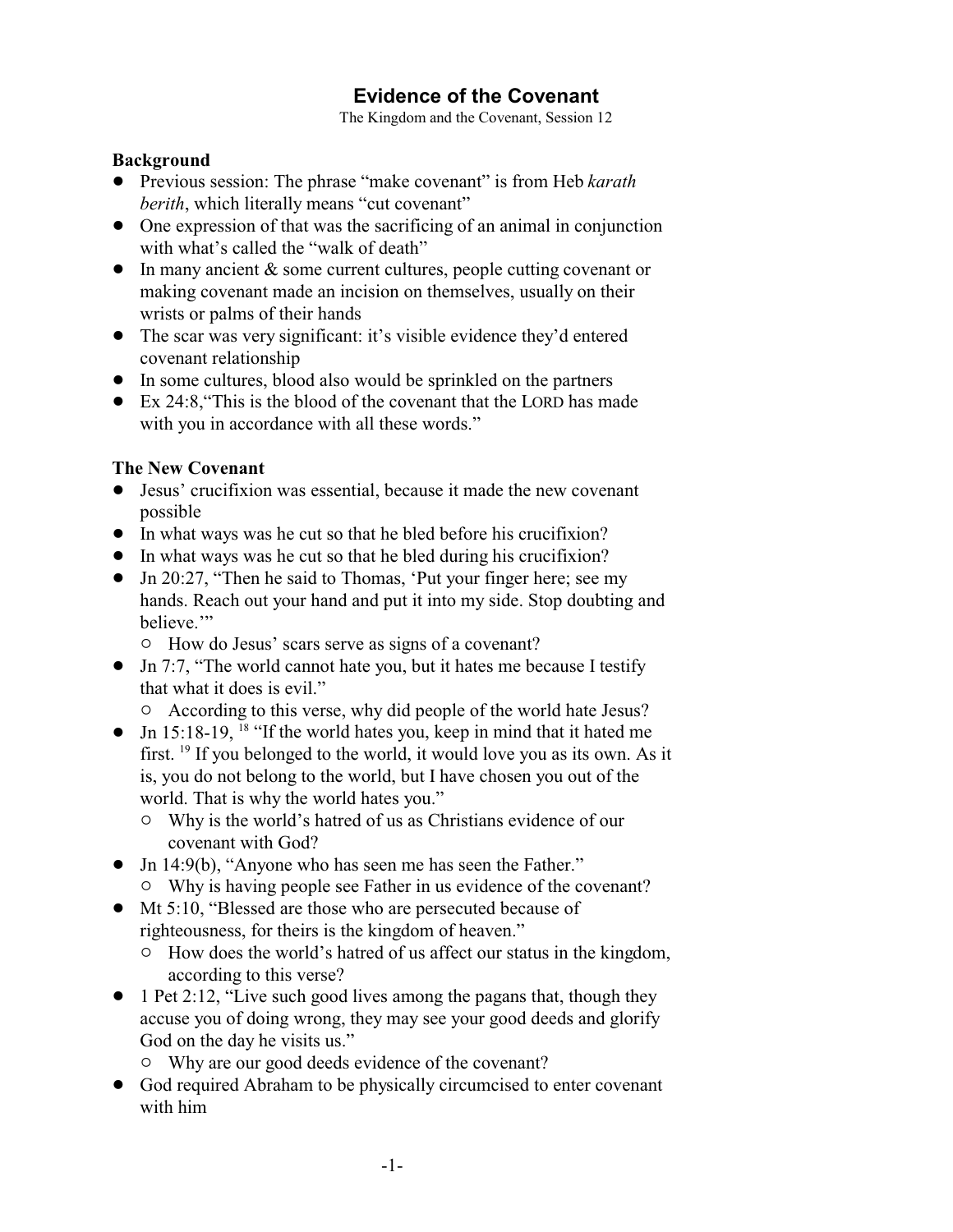# **Evidence of the Covenant**

The Kingdom and the Covenant, Session 12

## **Background**

- ! Previous session: The phrase "make covenant" is from Heb *karath berith*, which literally means "cut covenant"
- One expression of that was the sacrificing of an animal in conjunction with what's called the "walk of death"
- $\bullet$  In many ancient  $\&$  some current cultures, people cutting covenant or making covenant made an incision on themselves, usually on their wrists or palms of their hands
- The scar was very significant: it's visible evidence they'd entered covenant relationship
- In some cultures, blood also would be sprinkled on the partners
- ! Ex 24:8,"This is the blood of the covenant that the LORD has made with you in accordance with all these words."

## **The New Covenant**

- ! Jesus' crucifixion was essential, because it made the new covenant possible
- ! In what ways was he cut so that he bled before his crucifixion?
- ! In what ways was he cut so that he bled during his crucifixion?
- ! Jn 20:27, "Then he said to Thomas, 'Put your finger here; see my hands. Reach out your hand and put it into my side. Stop doubting and believe.'"
	- $\circ$  How do Jesus' scars serve as signs of a covenant?
- Jn 7:7, "The world cannot hate you, but it hates me because I testify that what it does is evil."
	- $\circ$  According to this verse, why did people of the world hate Jesus?
- Jn 15:18-19, <sup>18</sup> "If the world hates you, keep in mind that it hated me first. <sup>19</sup> If you belonged to the world, it would love you as its own. As it is, you do not belong to the world, but I have chosen you out of the world. That is why the world hates you."
	- $\circ$  Why is the world's hatred of us as Christians evidence of our covenant with God?
- Jn 14:9(b), "Anyone who has seen me has seen the Father."
	- $\circ$  Why is having people see Father in us evidence of the covenant?
- ! Mt 5:10, "Blessed are those who are persecuted because of righteousness, for theirs is the kingdom of heaven."
	- $\circ$  How does the world's hatred of us affect our status in the kingdom, according to this verse?
- $\bullet$  1 Pet 2:12, "Live such good lives among the pagans that, though they accuse you of doing wrong, they may see your good deeds and glorify God on the day he visits us."
	- $\circ$  Why are our good deeds evidence of the covenant?
- ! God required Abraham to be physically circumcised to enter covenant with him